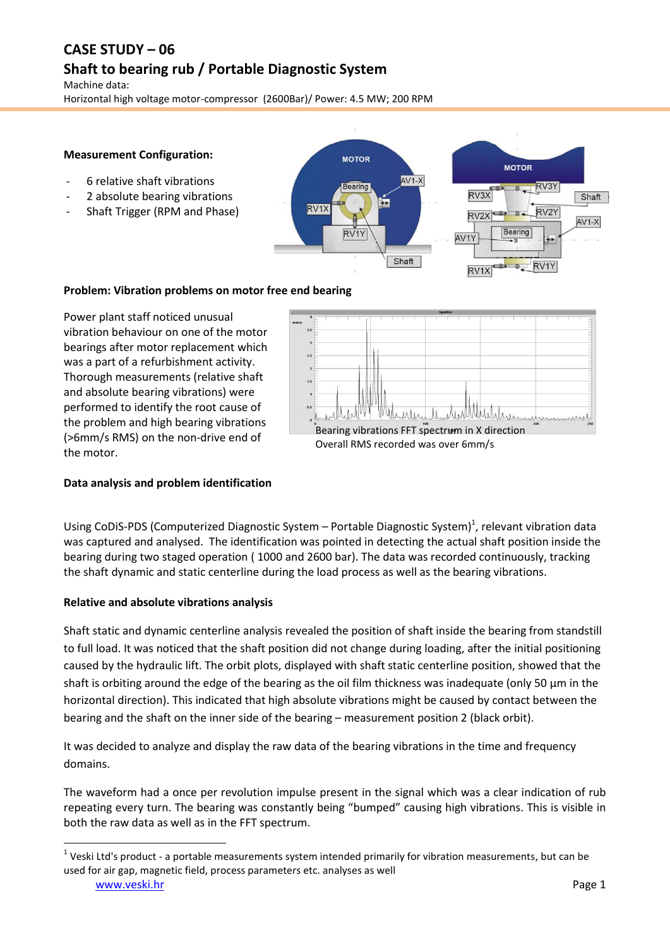# **CASE STUDY – 06 Shaft to bearing rub / Portable Diagnostic System**

Machine data: Horizontal high voltage motor-compressor (2600Bar)/ Power: 4.5 MW; 200 RPM

### **Measurement Configuration:**

- 6 relative shaft vibrations
- 2 absolute bearing vibrations
- Shaft Trigger (RPM and Phase)





### **Problem: Vibration problems on motor free end bearing**

Power plant staff noticed unusual vibration behaviour on one of the motor bearings after motor replacement which was a part of a refurbishment activity. Thorough measurements (relative shaft and absolute bearing vibrations) were performed to identify the root cause of the problem and high bearing vibrations (>6mm/s RMS) on the non-drive end of the motor.



### **Data analysis and problem identification**

Using CoDiS-PDS (Computerized Diagnostic System  $-$  Portable Diagnostic System)<sup>1</sup>, relevant vibration data was captured and analysed. The identification was pointed in detecting the actual shaft position inside the bearing during two staged operation ( 1000 and 2600 bar). The data was recorded continuously, tracking the shaft dynamic and static centerline during the load process as well as the bearing vibrations.

### **Relative and absolute vibrations analysis**

Shaft static and dynamic centerline analysis revealed the position of shaft inside the bearing from standstill to full load. It was noticed that the shaft position did not change during loading, after the initial positioning caused by the hydraulic lift. The orbit plots, displayed with shaft static centerline position, showed that the shaft is orbiting around the edge of the bearing as the oil film thickness was inadequate (only 50 μm in the horizontal direction). This indicated that high absolute vibrations might be caused by contact between the bearing and the shaft on the inner side of the bearing – measurement position 2 (black orbit).

It was decided to analyze and display the raw data of the bearing vibrations in the time and frequency domains.

The waveform had a once per revolution impulse present in the signal which was a clear indication of rub repeating every turn. The bearing was constantly being "bumped" causing high vibrations. This is visible in both the raw data as well as in the FFT spectrum.

**.** 

 $1$  Veski Ltd's product - a portable measurements system intended primarily for vibration measurements, but can be used for air gap, magnetic field, process parameters etc. analyses as well